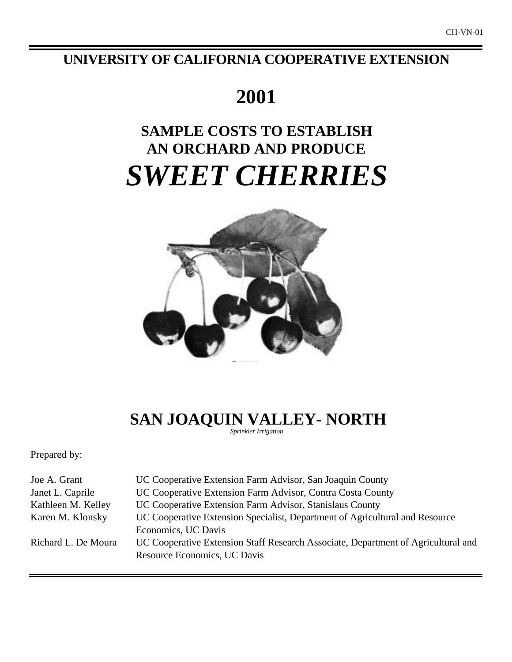## **UNIVERSITY OF CALIFORNIA COOPERATIVE EXTENSION**

## **2001**

# **SAMPLE COSTS TO ESTABLISH AN ORCHARD AND PRODUCE** *SWEET CHERRIES*



 **SAN JOAQUIN VALLEY- NORTH** *Sprinkler Irrigation*

Prepared by:

| Joe A. Grant        | UC Cooperative Extension Farm Advisor, San Joaquin County                         |
|---------------------|-----------------------------------------------------------------------------------|
| Janet L. Caprile    | UC Cooperative Extension Farm Advisor, Contra Costa County                        |
| Kathleen M. Kelley  | UC Cooperative Extension Farm Advisor, Stanislaus County                          |
| Karen M. Klonsky    | UC Cooperative Extension Specialist, Department of Agricultural and Resource      |
|                     | Economics, UC Davis                                                               |
| Richard L. De Moura | UC Cooperative Extension Staff Research Associate, Department of Agricultural and |
|                     | Resource Economics, UC Davis                                                      |
|                     |                                                                                   |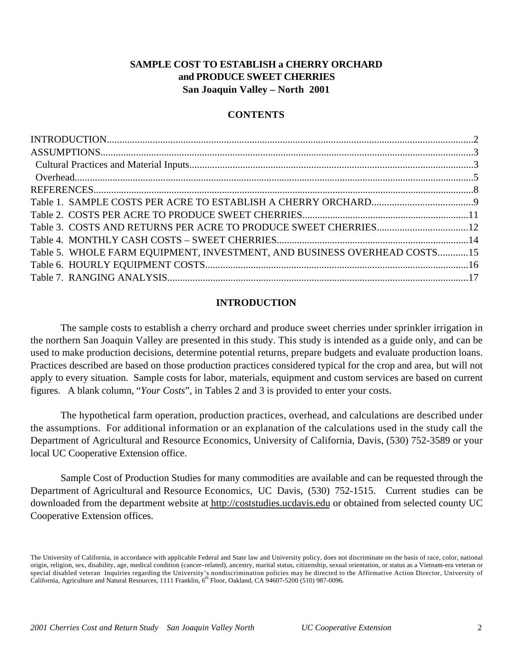## **SAMPLE COST TO ESTABLISH a CHERRY ORCHARD and PRODUCE SWEET CHERRIES San Joaquin Valley – North 2001**

## **CONTENTS**

| Table 5. WHOLE FARM EQUIPMENT, INVESTMENT, AND BUSINESS OVERHEAD COSTS15 |  |
|--------------------------------------------------------------------------|--|
|                                                                          |  |
|                                                                          |  |

## **INTRODUCTION**

The sample costs to establish a cherry orchard and produce sweet cherries under sprinkler irrigation in the northern San Joaquin Valley are presented in this study. This study is intended as a guide only, and can be used to make production decisions, determine potential returns, prepare budgets and evaluate production loans. Practices described are based on those production practices considered typical for the crop and area, but will not apply to every situation. Sample costs for labor, materials, equipment and custom services are based on current figures. A blank column, "*Your Costs*", in Tables 2 and 3 is provided to enter your costs.

The hypothetical farm operation, production practices, overhead, and calculations are described under the assumptions. For additional information or an explanation of the calculations used in the study call the Department of Agricultural and Resource Economics, University of California, Davis, (530) 752-3589 or your local UC Cooperative Extension office.

Sample Cost of Production Studies for many commodities are available and can be requested through the Department of Agricultural and Resource Economics, UC Davis, (530) 752-1515. Current studies can be downloaded from the department website at http://coststudies.ucdavis.edu or obtained from selected county UC Cooperative Extension offices.

The University of California, in accordance with applicable Federal and State law and University policy, does not discriminate on the basis of race, color, national origin, religion, sex, disability, age, medical condition (cancer–related), ancestry, marital status, citizenship, sexual orientation, or status as a Vietnam-era veteran or special disabled veteran Inquiries regarding the University's nondiscrimination policies may be directed to the Affirmative Action Director, University of<br>California, Agriculture and Natural Resources, 1111 Franklin, 6<sup>th</sup>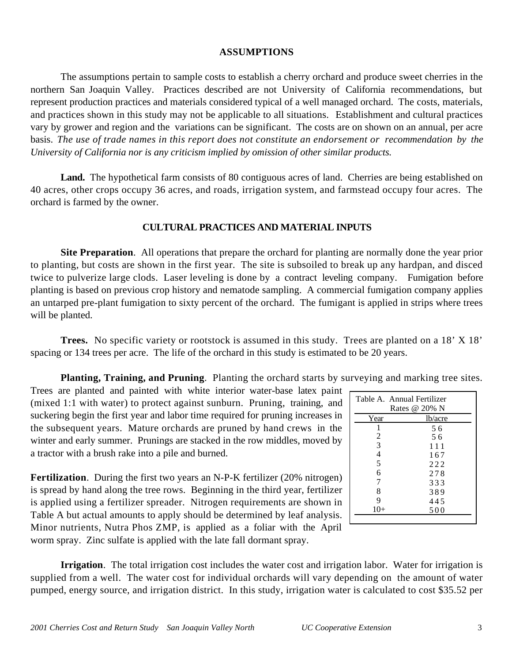## **ASSUMPTIONS**

The assumptions pertain to sample costs to establish a cherry orchard and produce sweet cherries in the northern San Joaquin Valley. Practices described are not University of California recommendations, but represent production practices and materials considered typical of a well managed orchard. The costs, materials, and practices shown in this study may not be applicable to all situations.Establishment and cultural practices vary by grower and region and the variations can be significant. The costs are on shown on an annual, per acre basis. *The use of trade names in this report does not constitute an endorsement or recommendation by the University of California nor is any criticism implied by omission of other similar products.*

Land. The hypothetical farm consists of 80 contiguous acres of land. Cherries are being established on 40 acres, other crops occupy 36 acres, and roads, irrigation system, and farmstead occupy four acres. The orchard is farmed by the owner.

## **CULTURAL PRACTICES AND MATERIAL INPUTS**

**Site Preparation**. All operations that prepare the orchard for planting are normally done the year prior to planting, but costs are shown in the first year. The site is subsoiled to break up any hardpan, and disced twice to pulverize large clods. Laser leveling is done by a contract leveling company. Fumigation before planting is based on previous crop history and nematode sampling. A commercial fumigation company applies an untarped pre-plant fumigation to sixty percent of the orchard. The fumigant is applied in strips where trees will be planted.

**Trees.** No specific variety or rootstock is assumed in this study. Trees are planted on a 18' X 18' spacing or 134 trees per acre. The life of the orchard in this study is estimated to be 20 years.

**Planting, Training, and Pruning**. Planting the orchard starts by surveying and marking tree sites.

Trees are planted and painted with white interior water-base latex paint  $\vdash$ (mixed 1:1 with water) to protect against sunburn. Pruning, training, and suckering begin the first year and labor time required for pruning increases in the subsequent years. Mature orchards are pruned by hand crews in the winter and early summer. Prunings are stacked in the row middles, moved by a tractor with a brush rake into a pile and burned.

| Table A. Annual Fertilizer |               |
|----------------------------|---------------|
|                            | Rates @ 20% N |
| Year                       | lb/acre       |
|                            | 56            |
| 2                          | 56            |
| 3                          | 111           |
| $\overline{4}$             | 167           |
| 5                          | 222           |
| 6                          | 278           |
| 7                          | 333           |
| 8                          | 389           |
| 9                          | 445           |
| $10+$                      | 500           |
|                            |               |

**Fertilization**. During the first two years an N-P-K fertilizer (20% nitrogen) is spread by hand along the tree rows. Beginning in the third year, fertilizer is applied using a fertilizer spreader. Nitrogen requirements are shown in Table A but actual amounts to apply should be determined by leaf analysis. Minor nutrients, Nutra Phos ZMP, is applied as a foliar with the April worm spray. Zinc sulfate is applied with the late fall dormant spray.

**Irrigation**. The total irrigation cost includes the water cost and irrigation labor. Water for irrigation is supplied from a well. The water cost for individual orchards will vary depending on the amount of water pumped, energy source, and irrigation district. In this study, irrigation water is calculated to cost \$35.52 per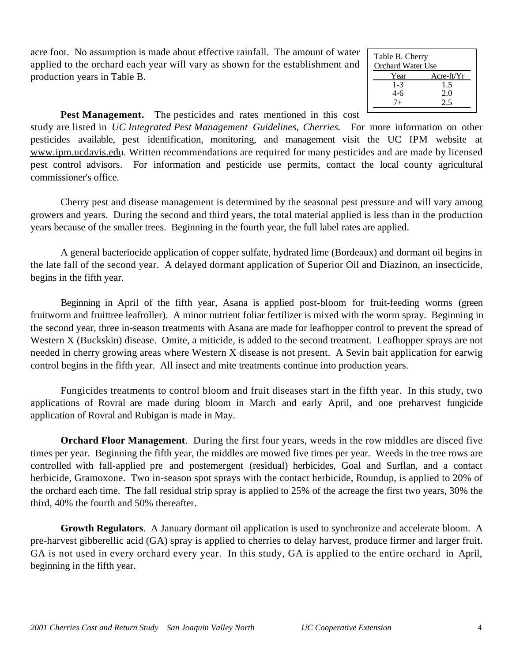acre foot. No assumption is made about effective rainfall. The amount of water applied to the orchard each year will vary as shown for the establishment and production years in Table B.

| Table B. Cherry<br><b>Orchard Water Use</b> |              |
|---------------------------------------------|--------------|
| Year                                        | $Acre-ft/Yr$ |
| $1 - 3$                                     | 1.5          |
| 4-6                                         | 2.0          |
| 7+                                          | 2.5          |
|                                             |              |

**Pest Management.** The pesticides and rates mentioned in this cost

study are listed in *UC Integrated Pest Management Guidelines, Cherries.* For more information on other pesticides available, pest identification, monitoring, and management visit the UC IPM website at www.ipm.ucdavis.edu. Written recommendations are required for many pesticides and are made by licensed pest control advisors. For information and pesticide use permits, contact the local county agricultural commissioner's office.

Cherry pest and disease management is determined by the seasonal pest pressure and will vary among growers and years. During the second and third years, the total material applied is less than in the production years because of the smaller trees. Beginning in the fourth year, the full label rates are applied.

A general bacteriocide application of copper sulfate, hydrated lime (Bordeaux) and dormant oil begins in the late fall of the second year. A delayed dormant application of Superior Oil and Diazinon, an insecticide, begins in the fifth year.

Beginning in April of the fifth year, Asana is applied post-bloom for fruit-feeding worms (green fruitworm and fruittree leafroller). A minor nutrient foliar fertilizer is mixed with the worm spray. Beginning in the second year, three in-season treatments with Asana are made for leafhopper control to prevent the spread of Western X (Buckskin) disease. Omite, a miticide, is added to the second treatment. Leafhopper sprays are not needed in cherry growing areas where Western X disease is not present. A Sevin bait application for earwig control begins in the fifth year. All insect and mite treatments continue into production years.

Fungicides treatments to control bloom and fruit diseases start in the fifth year. In this study, two applications of Rovral are made during bloom in March and early April, and one preharvest fungicide application of Rovral and Rubigan is made in May.

**Orchard Floor Management**. During the first four years, weeds in the row middles are disced five times per year. Beginning the fifth year, the middles are mowed five times per year. Weeds in the tree rows are controlled with fall-applied pre and postemergent (residual) herbicides, Goal and Surflan, and a contact herbicide, Gramoxone. Two in-season spot sprays with the contact herbicide, Roundup, is applied to 20% of the orchard each time. The fall residual strip spray is applied to 25% of the acreage the first two years, 30% the third, 40% the fourth and 50% thereafter.

**Growth Regulators**. A January dormant oil application is used to synchronize and accelerate bloom. A pre-harvest gibberellic acid (GA) spray is applied to cherries to delay harvest, produce firmer and larger fruit. GA is not used in every orchard every year. In this study, GA is applied to the entire orchard in April, beginning in the fifth year.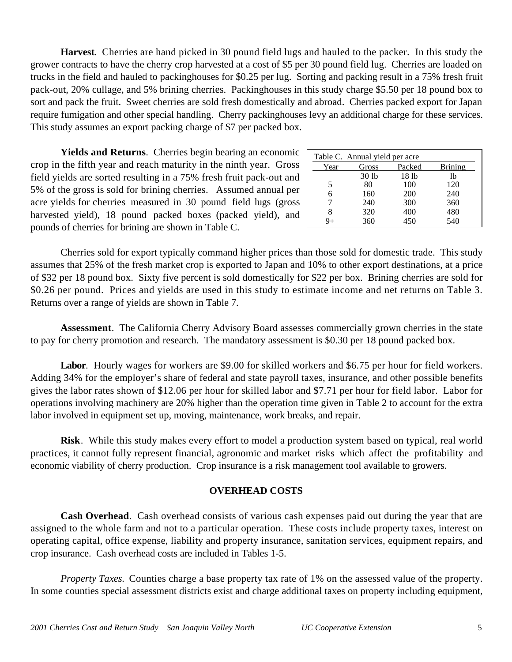**Harvest**. Cherries are hand picked in 30 pound field lugs and hauled to the packer. In this study the grower contracts to have the cherry crop harvested at a cost of \$5 per 30 pound field lug. Cherries are loaded on trucks in the field and hauled to packinghouses for \$0.25 per lug. Sorting and packing result in a 75% fresh fruit pack-out, 20% cullage, and 5% brining cherries. Packinghouses in this study charge \$5.50 per 18 pound box to sort and pack the fruit. Sweet cherries are sold fresh domestically and abroad. Cherries packed export for Japan require fumigation and other special handling. Cherry packinghouses levy an additional charge for these services. This study assumes an export packing charge of \$7 per packed box.

**Yields and Returns**. Cherries begin bearing an economic crop in the fifth year and reach maturity in the ninth year. Gross field yields are sorted resulting in a 75% fresh fruit pack-out and 5% of the gross is sold for brining cherries. Assumed annual per acre yields for cherries measured in 30 pound field lugs (gross harvested yield), 18 pound packed boxes (packed yield), and pounds of cherries for brining are shown in Table C.

| Table C. Annual yield per acre |       |        |                |  |  |  |  |  |
|--------------------------------|-------|--------|----------------|--|--|--|--|--|
| Year                           | Gross | Packed | <b>Brining</b> |  |  |  |  |  |
|                                | 30 lb | 18 lb  | lb             |  |  |  |  |  |
| 5                              | 80    | 100    | 120            |  |  |  |  |  |
| 6                              | 160   | 200    | 240            |  |  |  |  |  |
|                                | 240   | 300    | 360            |  |  |  |  |  |
| 8                              | 320   | 400    | 480            |  |  |  |  |  |
|                                | 360   | 450    | 540            |  |  |  |  |  |

Cherries sold for export typically command higher prices than those sold for domestic trade. This study assumes that 25% of the fresh market crop is exported to Japan and 10% to other export destinations, at a price of \$32 per 18 pound box. Sixty five percent is sold domestically for \$22 per box. Brining cherries are sold for \$0.26 per pound. Prices and yields are used in this study to estimate income and net returns on Table 3. Returns over a range of yields are shown in Table 7.

**Assessment**. The California Cherry Advisory Board assesses commercially grown cherries in the state to pay for cherry promotion and research. The mandatory assessment is \$0.30 per 18 pound packed box.

**Labor**. Hourly wages for workers are \$9.00 for skilled workers and \$6.75 per hour for field workers. Adding 34% for the employer's share of federal and state payroll taxes, insurance, and other possible benefits gives the labor rates shown of \$12.06 per hour for skilled labor and \$7.71 per hour for field labor. Labor for operations involving machinery are 20% higher than the operation time given in Table 2 to account for the extra labor involved in equipment set up, moving, maintenance, work breaks, and repair.

**Risk**. While this study makes every effort to model a production system based on typical, real world practices, it cannot fully represent financial, agronomic and market risks which affect the profitability and economic viability of cherry production. Crop insurance is a risk management tool available to growers.

## **OVERHEAD COSTS**

**Cash Overhead**. Cash overhead consists of various cash expenses paid out during the year that are assigned to the whole farm and not to a particular operation. These costs include property taxes, interest on operating capital, office expense, liability and property insurance, sanitation services, equipment repairs, and crop insurance. Cash overhead costs are included in Tables 1-5.

*Property Taxes.* Counties charge a base property tax rate of 1% on the assessed value of the property. In some counties special assessment districts exist and charge additional taxes on property including equipment,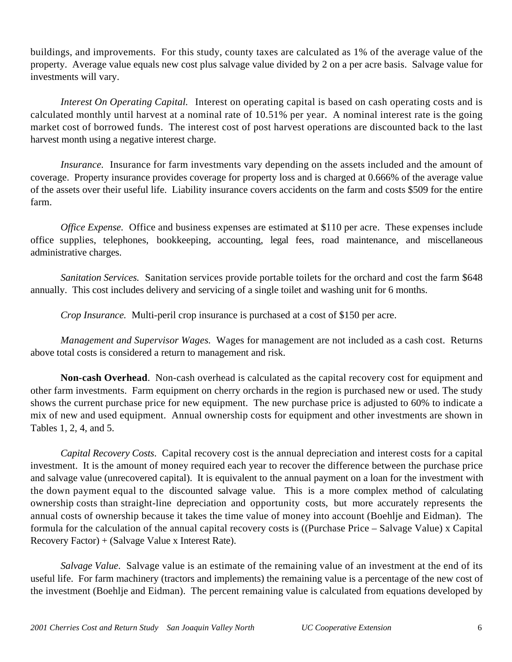buildings, and improvements. For this study, county taxes are calculated as 1% of the average value of the property. Average value equals new cost plus salvage value divided by 2 on a per acre basis. Salvage value for investments will vary.

*Interest On Operating Capital.* Interest on operating capital is based on cash operating costs and is calculated monthly until harvest at a nominal rate of 10.51% per year. A nominal interest rate is the going market cost of borrowed funds. The interest cost of post harvest operations are discounted back to the last harvest month using a negative interest charge.

*Insurance.* Insurance for farm investments vary depending on the assets included and the amount of coverage. Property insurance provides coverage for property loss and is charged at 0.666% of the average value of the assets over their useful life. Liability insurance covers accidents on the farm and costs \$509 for the entire farm.

*Office Expense.* Office and business expenses are estimated at \$110 per acre. These expenses include office supplies, telephones, bookkeeping, accounting, legal fees, road maintenance, and miscellaneous administrative charges.

*Sanitation Services.* Sanitation services provide portable toilets for the orchard and cost the farm \$648 annually. This cost includes delivery and servicing of a single toilet and washing unit for 6 months.

*Crop Insurance.* Multi-peril crop insurance is purchased at a cost of \$150 per acre.

*Management and Supervisor Wages.* Wages for management are not included as a cash cost. Returns above total costs is considered a return to management and risk.

**Non-cash Overhead**. Non-cash overhead is calculated as the capital recovery cost for equipment and other farm investments. Farm equipment on cherry orchards in the region is purchased new or used. The study shows the current purchase price for new equipment. The new purchase price is adjusted to 60% to indicate a mix of new and used equipment. Annual ownership costs for equipment and other investments are shown in Tables 1, 2, 4, and 5.

*Capital Recovery Costs*. Capital recovery cost is the annual depreciation and interest costs for a capital investment. It is the amount of money required each year to recover the difference between the purchase price and salvage value (unrecovered capital). It is equivalent to the annual payment on a loan for the investment with the down payment equal to the discounted salvage value. This is a more complex method of calculating ownership costs than straight-line depreciation and opportunity costs, but more accurately represents the annual costs of ownership because it takes the time value of money into account (Boehlje and Eidman). The formula for the calculation of the annual capital recovery costs is ((Purchase Price – Salvage Value) x Capital Recovery Factor) + (Salvage Value x Interest Rate).

*Salvage Value*. Salvage value is an estimate of the remaining value of an investment at the end of its useful life. For farm machinery (tractors and implements) the remaining value is a percentage of the new cost of the investment (Boehlje and Eidman). The percent remaining value is calculated from equations developed by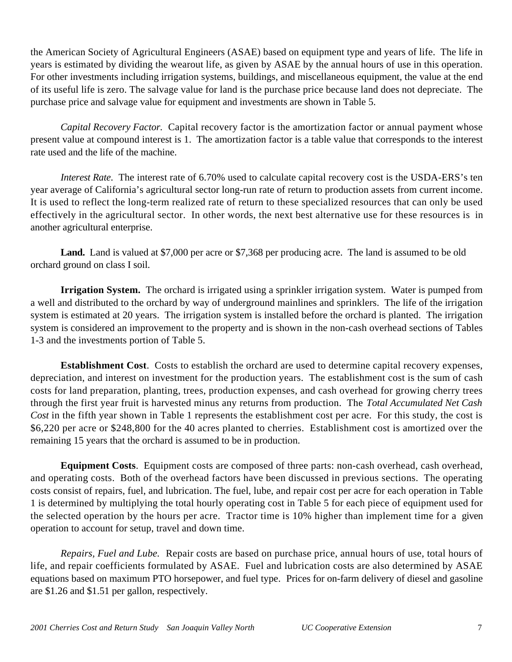the American Society of Agricultural Engineers (ASAE) based on equipment type and years of life. The life in years is estimated by dividing the wearout life, as given by ASAE by the annual hours of use in this operation. For other investments including irrigation systems, buildings, and miscellaneous equipment, the value at the end of its useful life is zero. The salvage value for land is the purchase price because land does not depreciate. The purchase price and salvage value for equipment and investments are shown in Table 5.

*Capital Recovery Factor*. Capital recovery factor is the amortization factor or annual payment whose present value at compound interest is 1. The amortization factor is a table value that corresponds to the interest rate used and the life of the machine.

*Interest Rate*. The interest rate of 6.70% used to calculate capital recovery cost is the USDA-ERS's ten year average of California's agricultural sector long-run rate of return to production assets from current income. It is used to reflect the long-term realized rate of return to these specialized resources that can only be used effectively in the agricultural sector. In other words, the next best alternative use for these resources is in another agricultural enterprise.

**Land.** Land is valued at \$7,000 per acre or \$7,368 per producing acre. The land is assumed to be old orchard ground on class I soil.

**Irrigation System.** The orchard is irrigated using a sprinkler irrigation system. Water is pumped from a well and distributed to the orchard by way of underground mainlines and sprinklers. The life of the irrigation system is estimated at 20 years. The irrigation system is installed before the orchard is planted. The irrigation system is considered an improvement to the property and is shown in the non-cash overhead sections of Tables 1-3 and the investments portion of Table 5.

**Establishment Cost**. Costs to establish the orchard are used to determine capital recovery expenses, depreciation, and interest on investment for the production years. The establishment cost is the sum of cash costs for land preparation, planting, trees, production expenses, and cash overhead for growing cherry trees through the first year fruit is harvested minus any returns from production. The *Total Accumulated Net Cash Cost* in the fifth year shown in Table 1 represents the establishment cost per acre. For this study, the cost is \$6,220 per acre or \$248,800 for the 40 acres planted to cherries. Establishment cost is amortized over the remaining 15 years that the orchard is assumed to be in production.

**Equipment Costs**. Equipment costs are composed of three parts: non-cash overhead, cash overhead, and operating costs. Both of the overhead factors have been discussed in previous sections. The operating costs consist of repairs, fuel, and lubrication. The fuel, lube, and repair cost per acre for each operation in Table 1 is determined by multiplying the total hourly operating cost in Table 5 for each piece of equipment used for the selected operation by the hours per acre. Tractor time is 10% higher than implement time for a given operation to account for setup, travel and down time.

*Repairs, Fuel and Lube.* Repair costs are based on purchase price, annual hours of use, total hours of life, and repair coefficients formulated by ASAE. Fuel and lubrication costs are also determined by ASAE equations based on maximum PTO horsepower, and fuel type. Prices for on-farm delivery of diesel and gasoline are \$1.26 and \$1.51 per gallon, respectively.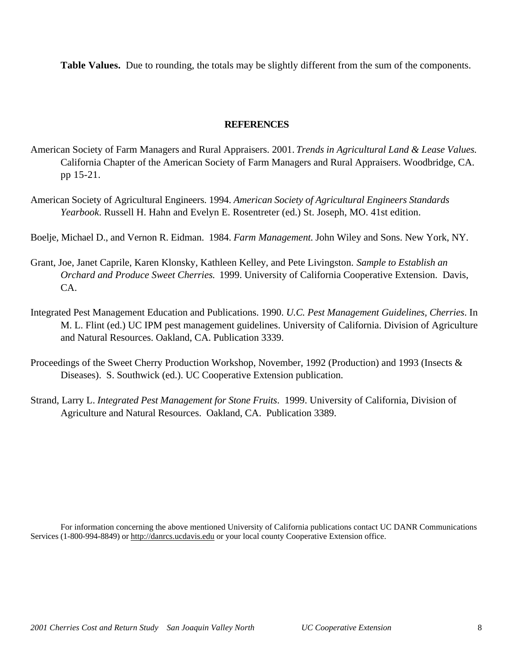**Table Values.** Due to rounding, the totals may be slightly different from the sum of the components.

## **REFERENCES**

- American Society of Farm Managers and Rural Appraisers. 2001. *Trends in Agricultural Land & Lease Values.* California Chapter of the American Society of Farm Managers and Rural Appraisers. Woodbridge, CA. pp 15-21.
- American Society of Agricultural Engineers. 1994. *American Society of Agricultural Engineers Standards Yearbook*. Russell H. Hahn and Evelyn E. Rosentreter (ed.) St. Joseph, MO. 41st edition.
- Boelje, Michael D., and Vernon R. Eidman. 1984. *Farm Management*. John Wiley and Sons. New York, NY.
- Grant, Joe, Janet Caprile, Karen Klonsky, Kathleen Kelley, and Pete Livingston. *Sample to Establish an Orchard and Produce Sweet Cherries.* 1999. University of California Cooperative Extension. Davis, CA.
- Integrated Pest Management Education and Publications. 1990. *U.C. Pest Management Guidelines, Cherries*. In M. L. Flint (ed.) UC IPM pest management guidelines. University of California. Division of Agriculture and Natural Resources. Oakland, CA. Publication 3339.
- Proceedings of the Sweet Cherry Production Workshop, November, 1992 (Production) and 1993 (Insects & Diseases). S. Southwick (ed.). UC Cooperative Extension publication.
- Strand, Larry L. *Integrated Pest Management for Stone Fruits*. 1999. University of California, Division of Agriculture and Natural Resources. Oakland, CA. Publication 3389.

For information concerning the above mentioned University of California publications contact UC DANR Communications Services (1-800-994-8849) or http://danrcs.ucdavis.edu or your local county Cooperative Extension office.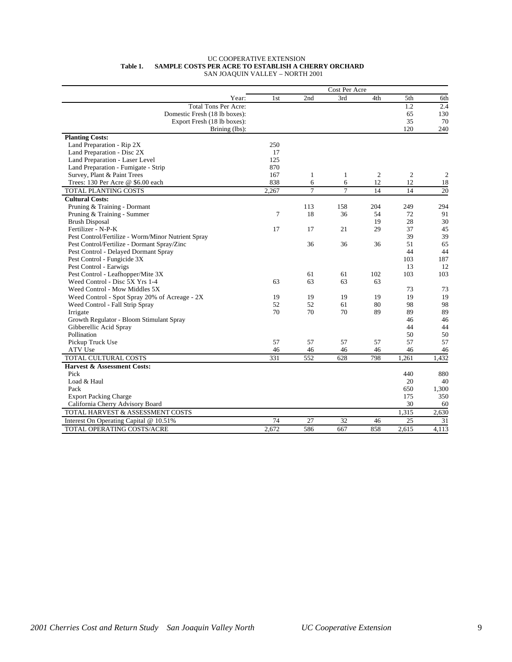#### UC COOPERATIVE EXTENSION  **Table 1. SAMPLE COSTS PER ACRE TO ESTABLISH A CHERRY ORCHARD** SAN JOAQUIN VALLEY – NORTH 2001

|                                                    |       |                | Cost Per Acre  |                |                |                |
|----------------------------------------------------|-------|----------------|----------------|----------------|----------------|----------------|
| Year:                                              | 1st   | 2nd            | 3rd            | 4th            | 5th            | 6th            |
| <b>Total Tons Per Acre:</b>                        |       |                |                |                | 1.2            | 2.4            |
| Domestic Fresh (18 lb boxes):                      |       |                |                |                | 65             | 130            |
| Export Fresh (18 lb boxes):                        |       |                |                |                | 35             | 70             |
| Brining (lbs):                                     |       |                |                |                | 120            | 240            |
| <b>Planting Costs:</b>                             |       |                |                |                |                |                |
| Land Preparation - Rip 2X                          | 250   |                |                |                |                |                |
| Land Preparation - Disc 2X                         | 17    |                |                |                |                |                |
| Land Preparation - Laser Level                     | 125   |                |                |                |                |                |
| Land Preparation - Fumigate - Strip                | 870   |                |                |                |                |                |
| Survey, Plant & Paint Trees                        | 167   | $\mathbf{1}$   | $\mathbf{1}$   | $\mathfrak{2}$ | $\overline{2}$ | $\overline{2}$ |
| Trees: 130 Per Acre @ \$6.00 each                  | 838   | 6              | 6              | 12             | 12             | 18             |
| TOTAL PLANTING COSTS                               | 2,267 | $\overline{7}$ | $\overline{7}$ | 14             | 14             | 20             |
| <b>Cultural Costs:</b>                             |       |                |                |                |                |                |
| Pruning & Training - Dormant                       |       | 113            | 158            | 204            | 249            | 294            |
| Pruning & Training - Summer                        | 7     | 18             | 36             | 54             | 72             | 91             |
| <b>Brush Disposal</b>                              |       |                |                | 19             | 28             | 30             |
| Fertilizer - N-P-K                                 | 17    | 17             | 21             | 29             | 37             | 45             |
| Pest Control/Fertilize - Worm/Minor Nutrient Spray |       |                |                |                | 39             | 39             |
| Pest Control/Fertilize - Dormant Spray/Zinc        |       | 36             | 36             | 36             | 51             | 65             |
| Pest Control - Delayed Dormant Spray               |       |                |                |                | 44             | 44             |
| Pest Control - Fungicide 3X                        |       |                |                |                | 103            | 187            |
| Pest Control - Earwigs                             |       |                |                |                | 13             | 12             |
| Pest Control - Leafhopper/Mite 3X                  |       | 61             | 61             | 102            | 103            | 103            |
| Weed Control - Disc 5X Yrs 1-4                     | 63    | 63             | 63             | 63             |                |                |
| Weed Control - Mow Middles 5X                      |       |                |                |                | 73             | 73             |
| Weed Control - Spot Spray 20% of Acreage - 2X      | 19    | 19             | 19             | 19             | 19             | 19             |
| Weed Control - Fall Strip Spray                    | 52    | 52             | 61             | 80             | 98             | 98             |
| Irrigate                                           | 70    | 70             | 70             | 89             | 89             | 89             |
| Growth Regulator - Bloom Stimulant Spray           |       |                |                |                | 46             | 46             |
| Gibberellic Acid Spray                             |       |                |                |                | 44             | 44             |
| Pollination                                        |       |                |                |                | 50             | 50             |
| Pickup Truck Use                                   | 57    | 57             | 57             | 57             | 57             | 57             |
| ATV Use                                            | 46    | 46             | 46             | 46             | 46             | 46             |
| TOTAL CULTURAL COSTS                               | 331   | 552            | 628            | 798            | 1.261          | 1,432          |
| <b>Harvest &amp; Assessment Costs:</b>             |       |                |                |                |                |                |
| Pick                                               |       |                |                |                | 440            | 880            |
| Load & Haul                                        |       |                |                |                | 20             | 40             |
| Pack                                               |       |                |                |                | 650            | 1,300          |
| <b>Export Packing Charge</b>                       |       |                |                |                | 175            | 350            |
| California Cherry Advisory Board                   |       |                |                |                | 30             | 60             |
| TOTAL HARVEST & ASSESSMENT COSTS                   |       |                |                |                | 1.315          | 2,630          |
| Interest On Operating Capital @ 10.51%             | 74    | 27             | 32             | 46             | 25             | 31             |
| TOTAL OPERATING COSTS/ACRE                         | 2.672 | 586            | 667            | 858            | 2.615          | 4.113          |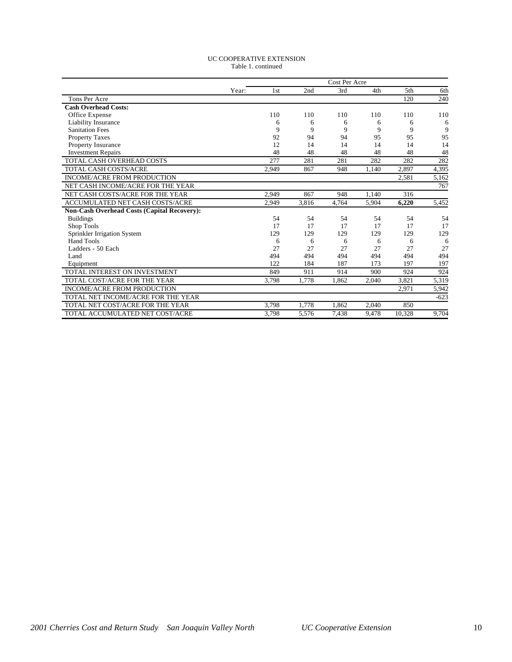#### UC COOPERATIVE EXTENSION Table 1. continued

|                                             |       |                 |       | Cost Per Acre |       |        |        |
|---------------------------------------------|-------|-----------------|-------|---------------|-------|--------|--------|
|                                             | Year: | 1 <sub>st</sub> | 2nd   | 3rd           | 4th   | 5th    | 6th    |
| Tons Per Acre                               |       |                 |       |               |       | 120    | 240    |
| <b>Cash Overhead Costs:</b>                 |       |                 |       |               |       |        |        |
| Office Expense                              |       | 110             | 110   | 110           | 110   | 110    | 110    |
| Liability Insurance                         |       | 6               | 6     | 6             | 6     | 6      | 6      |
| <b>Sanitation Fees</b>                      |       | 9               | 9     | 9             | 9     | 9      | 9      |
| <b>Property Taxes</b>                       |       | 92              | 94    | 94            | 95    | 95     | 95     |
| <b>Property Insurance</b>                   |       | 12              | 14    | 14            | 14    | 14     | 14     |
| <b>Investment Repairs</b>                   |       | 48              | 48    | 48            | 48    | 48     | 48     |
| <b>TOTAL CASH OVERHEAD COSTS</b>            |       | 277             | 281   | 281           | 282   | 282    | 282    |
| <b>TOTAL CASH COSTS/ACRE</b>                |       | 2,949           | 867   | 948           | 1,140 | 2,897  | 4,395  |
| <b>INCOME/ACRE FROM PRODUCTION</b>          |       |                 |       |               |       | 2,581  | 5,162  |
| NET CASH INCOME/ACRE FOR THE YEAR           |       |                 |       |               |       |        | 767    |
| NET CASH COSTS/ACRE FOR THE YEAR            |       | 2,949           | 867   | 948           | 1.140 | 316    |        |
| <b>ACCUMULATED NET CASH COSTS/ACRE</b>      |       | 2,949           | 3.816 | 4.764         | 5.904 | 6,220  | 5.452  |
| Non-Cash Overhead Costs (Capital Recovery): |       |                 |       |               |       |        |        |
| <b>Buildings</b>                            |       | 54              | 54    | 54            | 54    | 54     | 54     |
| Shop Tools                                  |       | 17              | 17    | 17            | 17    | 17     | 17     |
| Sprinkler Irrigation System                 |       | 129             | 129   | 129           | 129   | 129    | 129    |
| <b>Hand Tools</b>                           |       | 6               | 6     | 6             | 6     | 6      | 6      |
| Ladders - 50 Each                           |       | 27              | 27    | 27            | 27    | 27     | 27     |
| Land                                        |       | 494             | 494   | 494           | 494   | 494    | 494    |
| Equipment                                   |       | 122             | 184   | 187           | 173   | 197    | 197    |
| TOTAL INTEREST ON INVESTMENT                |       | 849             | 911   | 914           | 900   | 924    | 924    |
| TOTAL COST/ACRE FOR THE YEAR                |       | 3,798           | 1,778 | 1.862         | 2,040 | 3.821  | 5,319  |
| <b>INCOME/ACRE FROM PRODUCTION</b>          |       |                 |       |               |       | 2,971  | 5,942  |
| TOTAL NET INCOME/ACRE FOR THE YEAR          |       |                 |       |               |       |        | $-623$ |
| TOTAL NET COST/ACRE FOR THE YEAR            |       | 3,798           | 1,778 | 1.862         | 2,040 | 850    |        |
| TOTAL ACCUMULATED NET COST/ACRE             |       | 3.798           | 5.576 | 7.438         | 9.478 | 10.328 | 9.704  |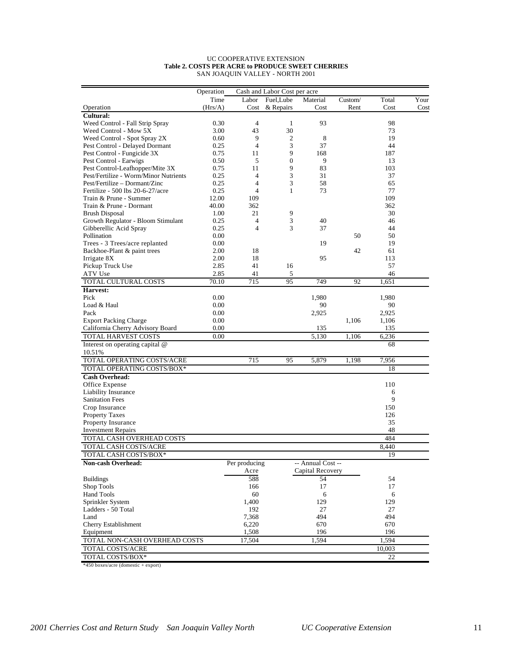#### UC COOPERATIVE EXTENSION **Table 2. COSTS PER ACRE to PRODUCE SWEET CHERRIES** SAN JOAQUIN VALLEY - NORTH 2001

|                                       | Operation |                | Cash and Labor Cost per acre |                   |         |        |      |
|---------------------------------------|-----------|----------------|------------------------------|-------------------|---------|--------|------|
|                                       | Time      | Labor          | Fuel,Lube                    | Material          | Custom/ | Total  | Your |
| Operation                             | (Hrs/A)   | Cost           | & Repairs                    | Cost              | Rent    | Cost   | Cost |
| Cultural:                             |           |                |                              |                   |         |        |      |
| Weed Control - Fall Strip Spray       | 0.30      | $\overline{4}$ | 1                            | 93                |         | 98     |      |
| Weed Control - Mow 5X                 | 3.00      | 43             | 30                           |                   |         | 73     |      |
| Weed Control - Spot Spray 2X          | 0.60      | 9              | 2                            | 8                 |         | 19     |      |
| Pest Control - Delayed Dormant        | 0.25      | $\overline{4}$ | 3                            | 37                |         | 44     |      |
| Pest Control - Fungicide 3X           | 0.75      | 11             | 9                            | 168               |         | 187    |      |
| Pest Control - Earwigs                | 0.50      | 5              | $\boldsymbol{0}$             | 9                 |         | 13     |      |
| Pest Control-Leafhopper/Mite 3X       | 0.75      | 11             | 9                            | 83                |         | 103    |      |
| Pest/Fertilize - Worm/Minor Nutrients | 0.25      | $\overline{4}$ | 3                            | 31                |         | 37     |      |
| Pest/Fertilize – Dormant/Zinc         | 0.25      | $\overline{4}$ | 3                            | 58                |         | 65     |      |
| Fertilize - 500 lbs 20-6-27/acre      | 0.25      | $\overline{4}$ | 1                            | 73                |         | 77     |      |
| Train & Prune - Summer                | 12.00     | 109            |                              |                   |         | 109    |      |
| Train & Prune - Dormant               | 40.00     | 362            |                              |                   |         | 362    |      |
| <b>Brush Disposal</b>                 | 1.00      | 21             | 9                            |                   |         | 30     |      |
| Growth Regulator - Bloom Stimulant    | 0.25      | 4              | 3                            | 40                |         | 46     |      |
| Gibberellic Acid Spray                | 0.25      | $\overline{4}$ | 3                            | 37                |         | 44     |      |
| Pollination                           | 0.00      |                |                              |                   | 50      | 50     |      |
| Trees - 3 Trees/acre replanted        | 0.00      |                |                              | 19                |         | 19     |      |
| Backhoe-Plant & paint trees           | 2.00      | 18             |                              |                   | 42      | 61     |      |
| Irrigate 8X                           | 2.00      | 18             |                              | 95                |         | 113    |      |
| Pickup Truck Use                      | 2.85      | 41             | 16                           |                   |         | 57     |      |
| ATV Use                               | 2.85      | 41             | 5                            |                   |         | 46     |      |
| TOTAL CULTURAL COSTS                  | 70.10     | 715            | 95                           | 749               | 92      | 1,651  |      |
| Harvest:                              |           |                |                              |                   |         |        |      |
| Pick                                  | 0.00      |                |                              | 1,980             |         | 1,980  |      |
| Load & Haul                           | 0.00      |                |                              | 90                |         | 90     |      |
| Pack                                  | 0.00      |                |                              | 2,925             |         | 2,925  |      |
| <b>Export Packing Charge</b>          | 0.00      |                |                              |                   | 1,106   | 1,106  |      |
| California Cherry Advisory Board      | 0.00      |                |                              | 135               |         | 135    |      |
| TOTAL HARVEST COSTS                   | 0.00      |                |                              | 5,130             | 1,106   | 6,236  |      |
|                                       |           |                |                              |                   |         |        |      |
| Interest on operating capital @       |           |                |                              |                   |         | 68     |      |
| 10.51%<br>TOTAL OPERATING COSTS/ACRE  |           | 715            |                              | 5,879             | 1,198   | 7,956  |      |
|                                       |           |                | 95                           |                   |         |        |      |
| TOTAL OPERATING COSTS/BOX*            |           |                |                              |                   |         | 18     |      |
| <b>Cash Overhead:</b>                 |           |                |                              |                   |         |        |      |
| Office Expense                        |           |                |                              |                   |         | 110    |      |
| Liability Insurance                   |           |                |                              |                   |         | 6      |      |
| <b>Sanitation Fees</b>                |           |                |                              |                   |         | 9      |      |
| Crop Insurance                        |           |                |                              |                   |         | 150    |      |
| <b>Property Taxes</b>                 |           |                |                              |                   |         | 126    |      |
| <b>Property Insurance</b>             |           |                |                              |                   |         | 35     |      |
| <b>Investment Repairs</b>             |           |                |                              |                   |         | 48     |      |
| TOTAL CASH OVERHEAD COSTS             |           |                |                              |                   |         | 484    |      |
| TOTAL CASH COSTS/ACRE                 |           |                |                              |                   |         | 8,440  |      |
| TOTAL CASH COSTS/BOX*                 |           |                |                              |                   |         | 19     |      |
| Non-cash Overhead:                    |           | Per producing  |                              | -- Annual Cost -- |         |        |      |
|                                       |           | Acre           |                              | Capital Recovery  |         |        |      |
| <b>Buildings</b>                      |           | 588            |                              | 54                |         | 54     |      |
| Shop Tools                            |           | 166            |                              | 17                |         | 17     |      |
| <b>Hand Tools</b>                     |           | 60             |                              | 6                 |         | 6      |      |
| Sprinkler System                      |           | 1,400          |                              | 129               |         | 129    |      |
| Ladders - 50 Total                    |           | 192            |                              | 27                |         | 27     |      |
| Land                                  |           | 7,368          |                              | 494               |         | 494    |      |
| Cherry Establishment                  |           | 6,220          |                              | 670               |         | 670    |      |
| Equipment                             |           | 1,508          |                              | 196               |         | 196    |      |
|                                       |           |                |                              |                   |         |        |      |
| TOTAL NON-CASH OVERHEAD COSTS         |           | 17,504         |                              | 1,594             |         | 1,594  |      |
| TOTAL COSTS/ACRE                      |           |                |                              |                   |         | 10,003 |      |
| TOTAL COSTS/BOX*                      |           |                |                              |                   |         | 22     |      |

\*450 boxes/acre (domestic + export)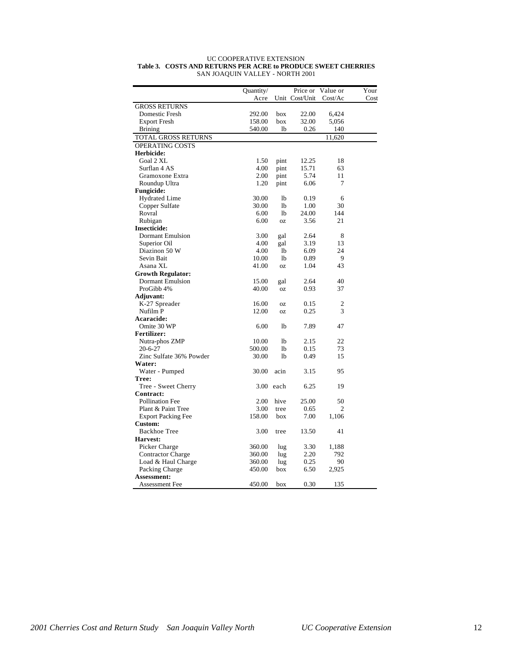|                           | Quantity/ |                | Price or       | Value or       | Your |
|---------------------------|-----------|----------------|----------------|----------------|------|
|                           | Acre      |                | Unit Cost/Unit | Cost/Ac        | Cost |
| <b>GROSS RETURNS</b>      |           |                |                |                |      |
| Domestic Fresh            | 292.00    | box            | 22.00          | 6,424          |      |
| <b>Export Fresh</b>       | 158.00    | box            | 32.00          | 5,056          |      |
| <b>Brining</b>            | 540.00    | lb             | 0.26           | 140            |      |
| TOTAL GROSS RETURNS       |           |                |                | 11,620         |      |
| OPERATING COSTS           |           |                |                |                |      |
| Herbicide:                |           |                |                |                |      |
| Goal 2 XL                 | 1.50      | pint           | 12.25          | 18             |      |
| Surflan 4 AS              | 4.00      | pint           | 15.71          | 63             |      |
| Gramoxone Extra           | 2.00      | pint           | 5.74           | 11             |      |
| Roundup Ultra             | 1.20      | pint           | 6.06           | 7              |      |
| <b>Fungicide:</b>         |           |                |                |                |      |
| <b>Hydrated Lime</b>      | 30.00     | lb             | 0.19           | 6              |      |
| Copper Sulfate            | 30.00     | lb             | 1.00           | 30             |      |
| Rovral                    | 6.00      | <b>lb</b>      | 24.00          | 144            |      |
| Rubigan                   | 6.00      | <b>OZ</b>      | 3.56           | 21             |      |
| <b>Insecticide:</b>       |           |                |                |                |      |
| <b>Dormant Emulsion</b>   | 3.00      | gal            | 2.64           | 8              |      |
| Superior Oil              | 4.00      | gal            | 3.19           | 13             |      |
| Diazinon 50 W             | 4.00      | lb             | 6.09           | 24             |      |
| Sevin Bait                | 10.00     | 1 <sub>b</sub> | 0.89           | 9              |      |
| Asana XL                  | 41.00     | 0Z             | 1.04           | 43             |      |
| <b>Growth Regulator:</b>  |           |                |                |                |      |
| <b>Dormant Emulsion</b>   | 15.00     | gal            | 2.64           | 40             |      |
| ProGibb 4%                | 40.00     | 0Z             | 0.93           | 37             |      |
| Adjuvant:                 |           |                |                |                |      |
| K-27 Spreader             | 16.00     | 0Z             | 0.15           | 2              |      |
| Nufilm P                  | 12.00     | 0Z             | 0.25           | 3              |      |
| Acaracide:                |           |                |                |                |      |
| Omite 30 WP               | 6.00      | 1 <sub>b</sub> | 7.89           | 47             |      |
| <b>Fertilizer:</b>        |           |                |                |                |      |
| Nutra-phos ZMP            | 10.00     | <b>lb</b>      | 2.15           | 22             |      |
| $20 - 6 - 27$             | 500.00    | <b>lb</b>      | 0.15           | 73             |      |
| Zinc Sulfate 36% Powder   | 30.00     | lb             | 0.49           | 15             |      |
| Water:                    |           |                |                |                |      |
| Water - Pumped            | 30.00     | acin           | 3.15           | 95             |      |
| Tree:                     |           |                |                |                |      |
| Tree - Sweet Cherry       | 3.00      | each           | 6.25           | 19             |      |
| Contract:                 |           |                |                |                |      |
| <b>Pollination Fee</b>    | 2.00      | hive           | 25.00          | 50             |      |
| Plant & Paint Tree        | 3.00      | tree           | 0.65           | $\overline{c}$ |      |
| <b>Export Packing Fee</b> | 158.00    | box            | 7.00           | 1,106          |      |
| Custom:                   |           |                |                |                |      |
| <b>Backhoe Tree</b>       | 3.00      | tree           | 13.50          | 41             |      |
| Harvest:                  |           |                |                |                |      |
| Picker Charge             | 360.00    | lug            | 3.30           | 1,188          |      |
| <b>Contractor Charge</b>  | 360.00    | lug            | 2.20           | 792            |      |
| Load & Haul Charge        | 360.00    | lug            | 0.25           | 90             |      |
| Packing Charge            | 450.00    | box            | 6.50           | 2,925          |      |
| Assessment:               |           |                |                |                |      |
| Assessment Fee            | 450.00    | box            | 0.30           | 135            |      |

#### UC COOPERATIVE EXTENSION **Table 3. COSTS AND RETURNS PER ACRE to PRODUCE SWEET CHERRIES** SAN JOAQUIN VALLEY - NORTH 2001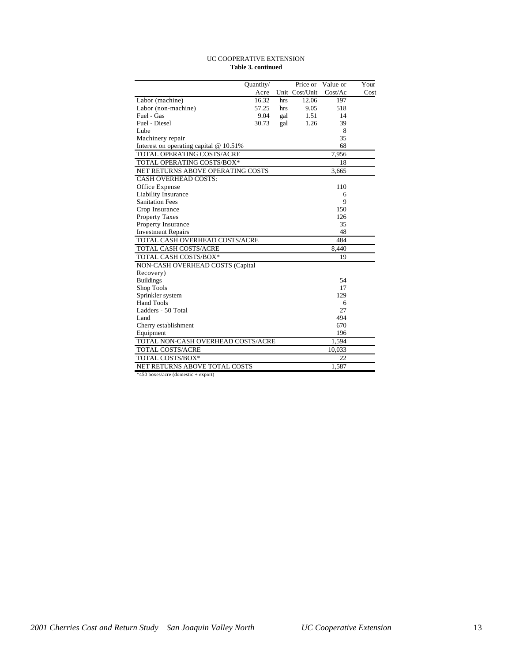#### UC COOPERATIVE EXTENSION **Table 3. continued**

|                                          | Quantity/ |     | Price or       | Value or | Your |
|------------------------------------------|-----------|-----|----------------|----------|------|
|                                          | Acre      |     | Unit Cost/Unit | Cost/Ac  | Cost |
| Labor (machine)                          | 16.32     | hrs | 12.06          | 197      |      |
| Labor (non-machine)                      | 57.25     | hrs | 9.05           | 518      |      |
| Fuel - Gas                               | 9.04      | gal | 1.51           | 14       |      |
| Fuel - Diesel                            | 30.73     | gal | 1.26           | 39       |      |
| Lube                                     |           |     |                | 8        |      |
| Machinery repair                         |           |     |                | 35       |      |
| Interest on operating capital $@10.51\%$ |           |     |                | 68       |      |
| TOTAL OPERATING COSTS/ACRE               |           |     |                | 7,956    |      |
| TOTAL OPERATING COSTS/BOX*               |           |     |                | 18       |      |
| NET RETURNS ABOVE OPERATING COSTS        |           |     |                | 3,665    |      |
| <b>CASH OVERHEAD COSTS:</b>              |           |     |                |          |      |
| Office Expense                           |           |     |                | 110      |      |
| Liability Insurance                      |           |     |                | 6        |      |
| <b>Sanitation Fees</b>                   |           |     |                | 9        |      |
| Crop Insurance                           |           |     |                | 150      |      |
| <b>Property Taxes</b>                    |           |     |                | 126      |      |
| Property Insurance                       |           |     |                | 35       |      |
| <b>Investment Repairs</b>                |           |     |                | 48       |      |
| TOTAL CASH OVERHEAD COSTS/ACRE           |           |     |                | 484      |      |
| TOTAL CASH COSTS/ACRE                    |           |     |                | 8,440    |      |
| TOTAL CASH COSTS/BOX*                    |           |     |                | 19       |      |
| NON-CASH OVERHEAD COSTS (Capital         |           |     |                |          |      |
| Recovery)                                |           |     |                |          |      |
| <b>Buildings</b>                         |           |     |                | 54       |      |
| Shop Tools                               |           |     |                | 17       |      |
| Sprinkler system                         |           |     |                | 129      |      |
| <b>Hand Tools</b>                        |           |     |                | 6        |      |
| Ladders - 50 Total                       |           |     |                | 27       |      |
| Land                                     |           |     |                | 494      |      |
| Cherry establishment                     |           |     |                | 670      |      |
| Equipment                                |           |     |                | 196      |      |
| TOTAL NON-CASH OVERHEAD COSTS/ACRE       |           |     |                | 1,594    |      |
| <b>TOTAL COSTS/ACRE</b>                  |           |     |                | 10,033   |      |
| TOTAL COSTS/BOX*                         |           |     |                | 22       |      |
| NET RETURNS ABOVE TOTAL COSTS            |           |     |                | 1,587    |      |

\*450 boxes/acre (domestic + export)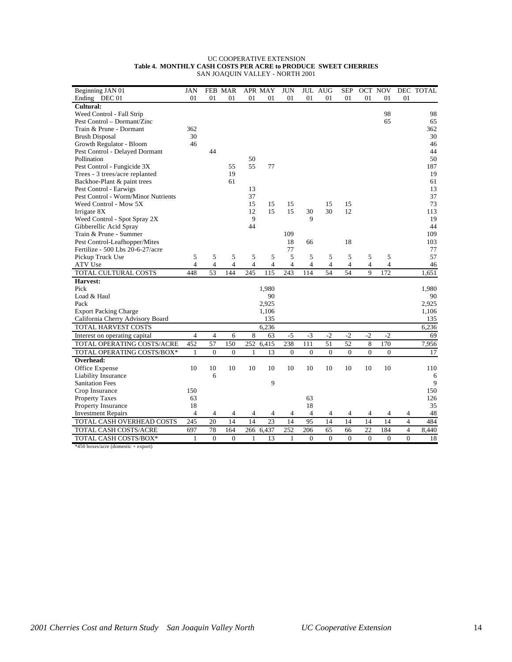| Beginning JAN 01                    | <b>JAN</b>     |                | FEB MAR        |              | <b>APR MAY</b>  | <b>JUN</b>      |                | JUL AUG        | <b>SEP</b>     | OCT NOV        |              |                | DEC TOTAL |
|-------------------------------------|----------------|----------------|----------------|--------------|-----------------|-----------------|----------------|----------------|----------------|----------------|--------------|----------------|-----------|
| Ending DEC 01                       | 01             | 01             | 01             | 01           | 01              | 01              | 01             | 01             | 01             | 01             | 01           | 01             |           |
| Cultural:                           |                |                |                |              |                 |                 |                |                |                |                |              |                |           |
| Weed Control - Fall Strip           |                |                |                |              |                 |                 |                |                |                |                | 98           |                | 98        |
| Pest Control – Dormant/Zinc         |                |                |                |              |                 |                 |                |                |                |                | 65           |                | 65        |
| Train & Prune - Dormant             | 362            |                |                |              |                 |                 |                |                |                |                |              |                | 362       |
| <b>Brush Disposal</b>               | 30             |                |                |              |                 |                 |                |                |                |                |              |                | 30        |
| Growth Regulator - Bloom            | 46             |                |                |              |                 |                 |                |                |                |                |              |                | 46        |
| Pest Control - Delayed Dormant      |                | 44             |                |              |                 |                 |                |                |                |                |              |                | 44        |
| Pollination                         |                |                |                | 50           |                 |                 |                |                |                |                |              |                | 50        |
| Pest Control - Fungicide 3X         |                |                | 55             | 55           | 77              |                 |                |                |                |                |              |                | 187       |
| Trees - 3 trees/acre replanted      |                |                | 19             |              |                 |                 |                |                |                |                |              |                | 19        |
| Backhoe-Plant & paint trees         |                |                | 61             |              |                 |                 |                |                |                |                |              |                | 61        |
| Pest Control - Earwigs              |                |                |                | 13           |                 |                 |                |                |                |                |              |                | 13        |
| Pest Control - Worm/Minor Nutrients |                |                |                | 37           |                 |                 |                |                |                |                |              |                | 37        |
| Weed Control - Mow 5X               |                |                |                | 15           | 15              | 15              |                | 15             | 15             |                |              |                | 73        |
| Irrigate 8X                         |                |                |                | 12           | 15              | 15              | 30             | 30             | 12             |                |              |                | 113       |
| Weed Control - Spot Spray 2X        |                |                |                | 9            |                 |                 | 9              |                |                |                |              |                | 19        |
| Gibberellic Acid Spray              |                |                |                | 44           |                 |                 |                |                |                |                |              |                | 44        |
| Train & Prune - Summer              |                |                |                |              |                 | 109             |                |                |                |                |              |                | 109       |
| Pest Control-Leafhopper/Mites       |                |                |                |              |                 | 18              | 66             |                | 18             |                |              |                | 103       |
| Fertilize - 500 Lbs 20-6-27/acre    |                |                |                |              |                 | 77              |                |                |                |                |              |                | 77        |
| Pickup Truck Use                    | 5              | 5              | 5              | 5            | 5               | 5               | 5              | 5              | 5              | 5              | 5            |                | 57        |
| ATV Use                             | $\overline{4}$ | 4              | $\overline{4}$ | 4            | $\overline{4}$  | 4               | 4              | $\overline{4}$ | $\overline{4}$ | $\overline{4}$ | 4            |                | 46        |
| TOTAL CULTURAL COSTS                | 448            | 53             | 144            | 245          | 115             | 243             | 114            | 54             | 54             | 9              | 172          |                | 1,651     |
| Harvest:                            |                |                |                |              |                 |                 |                |                |                |                |              |                |           |
| Pick                                |                |                |                |              | 1,980           |                 |                |                |                |                |              |                | 1,980     |
| Load & Haul                         |                |                |                |              | 90              |                 |                |                |                |                |              |                | 90        |
| Pack                                |                |                |                |              | 2,925           |                 |                |                |                |                |              |                | 2,925     |
| <b>Export Packing Charge</b>        |                |                |                |              | 1,106           |                 |                |                |                |                |              |                | 1,106     |
| California Cherry Advisory Board    |                |                |                |              | 135             |                 |                |                |                |                |              |                | 135       |
| <b>TOTAL HARVEST COSTS</b>          |                |                |                |              | 6,236           |                 |                |                |                |                |              |                | 6,236     |
| Interest on operating capital       | $\overline{4}$ | 4              | 6              | 8            | 63              | $-5$            | $-3$           | $-2$           | $-2$           | $-2$           | $-2$         |                | 69        |
| TOTAL OPERATING COSTS/ACRE          | 452            | 57             | 150            | 252          | 6,415           | 238             | 111            | 51             | 52             | 8              | 170          |                | 7,956     |
| TOTAL OPERATING COSTS/BOX*          | $\mathbf{1}$   | $\overline{0}$ | $\mathbf{0}$   | $\mathbf{1}$ | 13              | $\mathbf{0}$    | $\mathbf{0}$   | $\theta$       | $\mathbf{0}$   | $\mathbf{0}$   | $\mathbf{0}$ |                | 17        |
| Overhead:                           |                |                |                |              |                 |                 |                |                |                |                |              |                |           |
| Office Expense                      | 10             | 10             | 10             | 10           | 10              | 10              | 10             | 10             | 10             | 10             | 10           |                | 110       |
| Liability Insurance                 |                | 6              |                |              |                 |                 |                |                |                |                |              |                | 6         |
| <b>Sanitation Fees</b>              |                |                |                |              | 9               |                 |                |                |                |                |              |                | 9         |
| Crop Insurance                      | 150            |                |                |              |                 |                 |                |                |                |                |              |                | 150       |
| <b>Property Taxes</b>               | 63             |                |                |              |                 |                 | 63             |                |                |                |              |                | 126       |
| Property Insurance                  | 18             |                |                |              |                 |                 | 18             |                |                |                |              |                | 35        |
| <b>Investment Repairs</b>           | $\overline{4}$ | 4              | $\overline{4}$ | 4            | $\overline{4}$  | 4               | $\overline{4}$ | $\overline{4}$ | 4              | 4              | 4            | 4              | 48        |
| TOTAL CASH OVERHEAD COSTS           | 245            | 20             | 14             | 14           | $\overline{23}$ | $\overline{14}$ | 95             | 14             | 14             | 14             | 14           | $\overline{4}$ | 484       |
| TOTAL CASH COSTS/ACRE               | 697            | 78             | 164            | 266          | 6,437           | 252             | 206            | 65             | 66             | 22             | 184          | $\overline{4}$ | 8,440     |
| TOTAL CASH COSTS/BOX*               | 1              | $\theta$       | $\Omega$       | 1            | 13              | $\mathbf{1}$    | $\Omega$       | $\Omega$       | $\Omega$       | $\Omega$       | $\Omega$     | $\Omega$       | 18        |
|                                     |                |                |                |              |                 |                 |                |                |                |                |              |                |           |

#### UC COOPERATIVE EXTENSION **Table 4. MONTHLY CASH COSTS PER ACRE to PRODUCE SWEET CHERRIES** SAN JOAQUIN VALLEY - NORTH 2001

\*450 boxes/acre (domestic + export)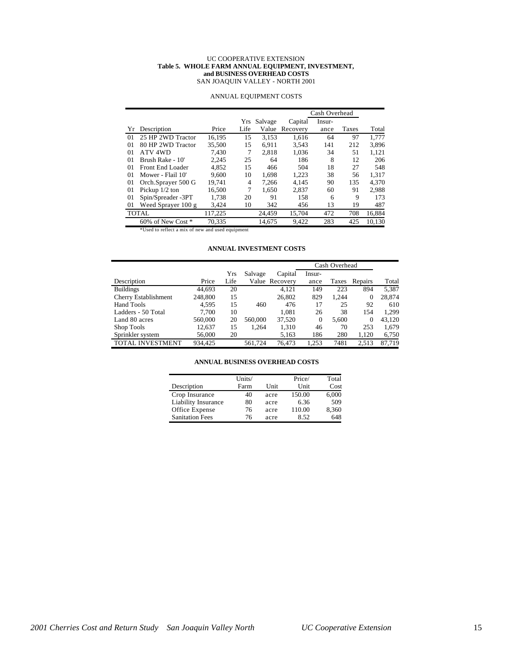#### UC COOPERATIVE EXTENSION **Table 5. WHOLE FARM ANNUAL EQUIPMENT, INVESTMENT, and BUSINESS OVERHEAD COSTS** SAN JOAQUIN VALLEY - NORTH 2001

|    |                         |         | Cash Overhead  |         |          |        |       |        |  |
|----|-------------------------|---------|----------------|---------|----------|--------|-------|--------|--|
|    |                         |         | Yrs            | Salvage | Capital  | Insur- |       |        |  |
| Yr | Description             | Price   | Life           | Value   | Recovery | ance   | Taxes | Total  |  |
| 01 | 25 HP 2WD Tractor       | 16.195  | 15             | 3.153   | 1.616    | 64     | 97    | 1.777  |  |
| 01 | 80 HP 2WD Tractor       | 35,500  | 15             | 6.911   | 3,543    | 141    | 212   | 3,896  |  |
| 01 | ATV 4WD                 | 7.430   | 7              | 2.818   | 1.036    | 34     | 51    | 1,121  |  |
| 01 | Brush Rake - 10'        | 2.245   | 25             | 64      | 186      | 8      | 12    | 206    |  |
| 01 | <b>Front End Loader</b> | 4,852   | 15             | 466     | 504      | 18     | 27    | 548    |  |
| 01 | Mower - Flail 10'       | 9.600   | 10             | 1.698   | 1.223    | 38     | 56    | 1.317  |  |
| 01 | Orch.Sprayer 500 G      | 19.741  | $\overline{4}$ | 7.266   | 4.145    | 90     | 135   | 4.370  |  |
| 01 | Pickup $1/2$ ton        | 16,500  | 7              | 1.650   | 2,837    | 60     | 91    | 2,988  |  |
| 01 | Spin/Spreader -3PT      | 1,738   | 20             | 91      | 158      | 6      | 9     | 173    |  |
| 01 | Weed Sprayer 100 g      | 3,424   | 10             | 342     | 456      | 13     | 19    | 487    |  |
|    | <b>TOTAL</b>            | 117,225 |                | 24,459  | 15,704   | 472    | 708   | 16,884 |  |
|    | 60% of New Cost *       | 70.335  |                | 14.675  | 9.422    | 283    | 425   | 10,130 |  |

### ANNUAL EQUIPMENT COSTS

\*Used to reflect a mix of new and used equipment

## **ANNUAL INVESTMENT COSTS**

|                         |         |      |         |                | Cash Overhead |       |          |        |
|-------------------------|---------|------|---------|----------------|---------------|-------|----------|--------|
|                         |         | Yrs  | Salvage | Capital        | Insur-        |       |          |        |
| Description             | Price   | Life |         | Value Recovery | ance          | Taxes | Repairs  | Total  |
| <b>Buildings</b>        | 44.693  | 20   |         | 4,121          | 149           | 223   | 894      | 5,387  |
| Cherry Establishment    | 248,800 | 15   |         | 26,802         | 829           | 1.244 | 0        | 28,874 |
| Hand Tools              | 4.595   | 15   | 460     | 476            | 17            | 25    | 92       | 610    |
| Ladders - 50 Total      | 7.700   | 10   |         | 1.081          | 26            | 38    | 154      | 1.299  |
| Land 80 acres           | 560,000 | 20   | 560,000 | 37.520         | $\mathbf{0}$  | 5.600 | $\Omega$ | 43.120 |
| Shop Tools              | 12,637  | 15   | 1.264   | 1,310          | 46            | 70    | 253      | 1,679  |
| Sprinkler system        | 56,000  | 20   |         | 5,163          | 186           | 280   | 1.120    | 6,750  |
| <b>TOTAL INVESTMENT</b> | 934.425 |      | 561.724 | 76.473         | 1,253         | 7481  | 2,513    | 87.719 |

#### **ANNUAL BUSINESS OVERHEAD COSTS**

|                        | Units/ |      | Price/ | Total |
|------------------------|--------|------|--------|-------|
| Description            | Farm   | Unit | Unit   | Cost  |
| Crop Insurance         | 40     | acre | 150.00 | 6,000 |
| Liability Insurance    | 80     | acre | 6.36   | 509   |
| Office Expense         | 76     | acre | 110.00 | 8,360 |
| <b>Sanitation Fees</b> | 76     | acre | 8.52   | 648   |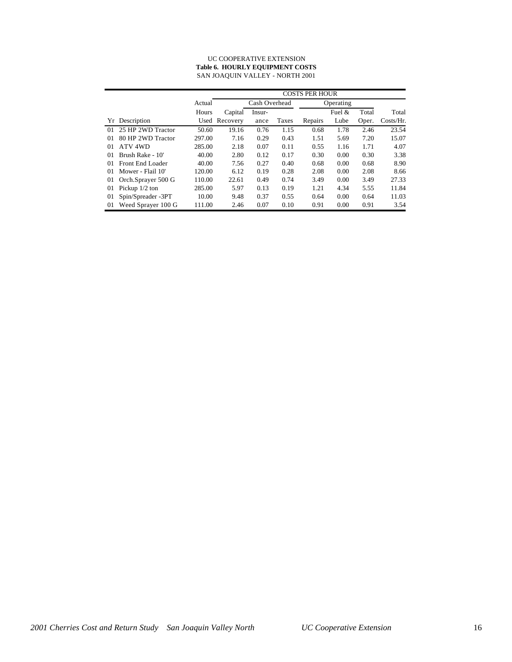#### UC COOPERATIVE EXTENSION **Table 6. HOURLY EQUIPMENT COSTS** SAN JOAQUIN VALLEY - NORTH 2001

|          |                    |        | <b>COSTS PER HOUR</b> |        |       |           |          |       |              |  |  |
|----------|--------------------|--------|-----------------------|--------|-------|-----------|----------|-------|--------------|--|--|
|          |                    | Actual | Cash Overhead         |        |       | Operating |          |       |              |  |  |
|          |                    | Hours  | Capital               | Insur- |       |           | Fuel $&$ | Total | Total        |  |  |
|          | Yr Description     |        | Used Recovery         | ance   | Taxes | Repairs   | Lube     | Oper. | $Costs/Hr$ . |  |  |
| $\Omega$ | 25 HP 2WD Tractor  | 50.60  | 19.16                 | 0.76   | 1.15  | 0.68      | 1.78     | 2.46  | 23.54        |  |  |
| $_{01}$  | 80 HP 2WD Tractor  | 297.00 | 7.16                  | 0.29   | 0.43  | 1.51      | 5.69     | 7.20  | 15.07        |  |  |
| 01       | ATV 4WD            | 285.00 | 2.18                  | 0.07   | 0.11  | 0.55      | 1.16     | 1.71  | 4.07         |  |  |
| $_{01}$  | Brush Rake - 10'   | 40.00  | 2.80                  | 0.12   | 0.17  | 0.30      | 0.00     | 0.30  | 3.38         |  |  |
| 01       | Front End Loader   | 40.00  | 7.56                  | 0.27   | 0.40  | 0.68      | 0.00     | 0.68  | 8.90         |  |  |
| 01       | Mower - Flail 10'  | 120.00 | 6.12                  | 0.19   | 0.28  | 2.08      | 0.00     | 2.08  | 8.66         |  |  |
| 01       | Orch.Sprayer 500 G | 110.00 | 22.61                 | 0.49   | 0.74  | 3.49      | 0.00     | 3.49  | 27.33        |  |  |
| 01       | Pickup $1/2$ ton   | 285.00 | 5.97                  | 0.13   | 0.19  | 1.21      | 4.34     | 5.55  | 11.84        |  |  |
| 01       | Spin/Spreader -3PT | 10.00  | 9.48                  | 0.37   | 0.55  | 0.64      | 0.00     | 0.64  | 11.03        |  |  |
| 01       | Weed Sprayer 100 G | 111.00 | 2.46                  | 0.07   | 0.10  | 0.91      | 0.00     | 0.91  | 3.54         |  |  |